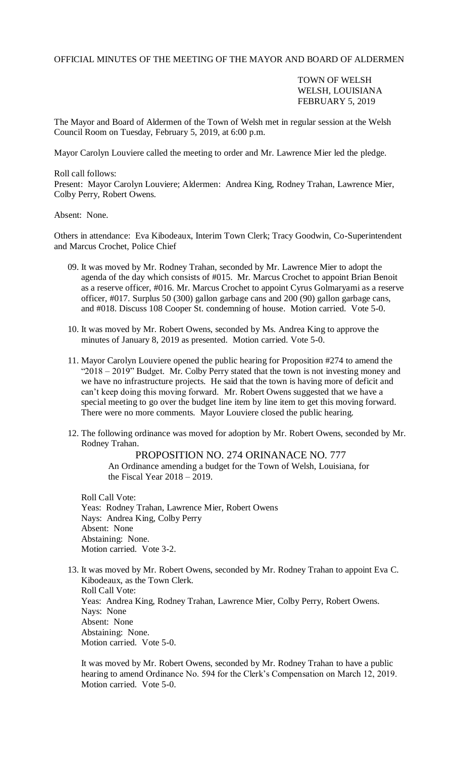OFFICIAL MINUTES OF THE MEETING OF THE MAYOR AND BOARD OF ALDERMEN

## TOWN OF WELSH WELSH, LOUISIANA FEBRUARY 5, 2019

The Mayor and Board of Aldermen of the Town of Welsh met in regular session at the Welsh Council Room on Tuesday, February 5, 2019, at 6:00 p.m.

Mayor Carolyn Louviere called the meeting to order and Mr. Lawrence Mier led the pledge.

Roll call follows:

Present: Mayor Carolyn Louviere; Aldermen: Andrea King, Rodney Trahan, Lawrence Mier, Colby Perry, Robert Owens.

Absent: None.

Others in attendance: Eva Kibodeaux, Interim Town Clerk; Tracy Goodwin, Co-Superintendent and Marcus Crochet, Police Chief

- 09. It was moved by Mr. Rodney Trahan, seconded by Mr. Lawrence Mier to adopt the agenda of the day which consists of #015. Mr. Marcus Crochet to appoint Brian Benoit as a reserve officer, #016. Mr. Marcus Crochet to appoint Cyrus Golmaryami as a reserve officer, #017. Surplus 50 (300) gallon garbage cans and 200 (90) gallon garbage cans, and #018. Discuss 108 Cooper St. condemning of house. Motion carried. Vote 5-0.
- 10. It was moved by Mr. Robert Owens, seconded by Ms. Andrea King to approve the minutes of January 8, 2019 as presented. Motion carried. Vote 5-0.
- 11. Mayor Carolyn Louviere opened the public hearing for Proposition #274 to amend the "2018 – 2019" Budget. Mr. Colby Perry stated that the town is not investing money and we have no infrastructure projects. He said that the town is having more of deficit and can't keep doing this moving forward. Mr. Robert Owens suggested that we have a special meeting to go over the budget line item by line item to get this moving forward. There were no more comments. Mayor Louviere closed the public hearing.
- 12. The following ordinance was moved for adoption by Mr. Robert Owens, seconded by Mr. Rodney Trahan.

PROPOSITION NO. 274 ORINANACE NO. 777

An Ordinance amending a budget for the Town of Welsh, Louisiana, for the Fiscal Year  $2018 - 2019$ .

Roll Call Vote: Yeas: Rodney Trahan, Lawrence Mier, Robert Owens Nays: Andrea King, Colby Perry Absent: None Abstaining: None. Motion carried. Vote 3-2.

13. It was moved by Mr. Robert Owens, seconded by Mr. Rodney Trahan to appoint Eva C. Kibodeaux, as the Town Clerk. Roll Call Vote: Yeas: Andrea King, Rodney Trahan, Lawrence Mier, Colby Perry, Robert Owens. Nays: None Absent: None Abstaining: None. Motion carried. Vote 5-0.

It was moved by Mr. Robert Owens, seconded by Mr. Rodney Trahan to have a public hearing to amend Ordinance No. 594 for the Clerk's Compensation on March 12, 2019. Motion carried. Vote 5-0.